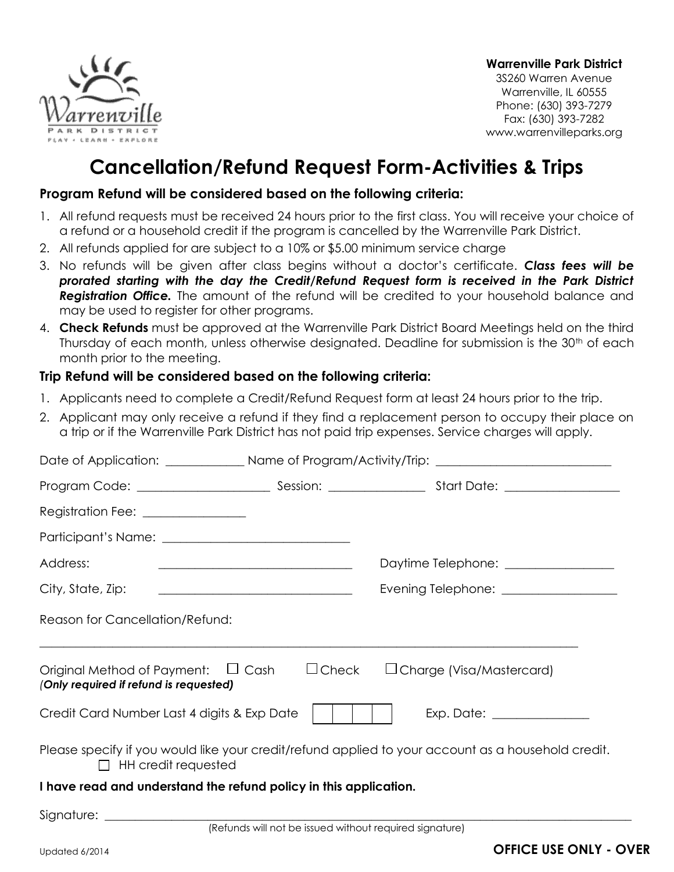

**Warrenville Park District**

3S260 Warren Avenue Warrenville, IL 60555 Phone: (630) 393-7279 Fax: (630) 393-7282 www.warrenvilleparks.org

## **Cancellation/Refund Request Form-Activities & Trips**

## **Program Refund will be considered based on the following criteria:**

- 1. All refund requests must be received 24 hours prior to the first class. You will receive your choice of a refund or a household credit if the program is cancelled by the Warrenville Park District.
- 2. All refunds applied for are subject to a 10% or \$5.00 minimum service charge
- 3. No refunds will be given after class begins without a doctor's certificate. *Class fees will be prorated starting with the day the Credit/Refund Request form is received in the Park District Registration Office.* The amount of the refund will be credited to your household balance and may be used to register for other programs.
- 4. **Check Refunds** must be approved at the Warrenville Park District Board Meetings held on the third Thursday of each month, unless otherwise designated. Deadline for submission is the  $30<sup>th</sup>$  of each month prior to the meeting.

## **Trip Refund will be considered based on the following criteria:**

- 1. Applicants need to complete a Credit/Refund Request form at least 24 hours prior to the trip.
- 2. Applicant may only receive a refund if they find a replacement person to occupy their place on a trip or if the Warrenville Park District has not paid trip expenses. Service charges will apply.

| Registration Fee: _______________                                                                                               |                                                                                                    |
|---------------------------------------------------------------------------------------------------------------------------------|----------------------------------------------------------------------------------------------------|
|                                                                                                                                 |                                                                                                    |
| Address:<br><u> 1989 - Jan Samuel Barbara, margaret e populari e populari e populari e populari e populari e populari e pop</u> | Daytime Telephone: ________________                                                                |
|                                                                                                                                 | Evening Telephone: __________________                                                              |
| Reason for Cancellation/Refund:                                                                                                 |                                                                                                    |
| Original Method of Payment: $\Box$ Cash $\Box$ Check $\Box$ Charge (Visa/Mastercard)<br>(Only required if refund is requested)  |                                                                                                    |
| Credit Card Number Last 4 digits & Exp Date                                                                                     |                                                                                                    |
| $\Box$ HH credit requested                                                                                                      | Please specify if you would like your credit/refund applied to your account as a household credit. |
| I have read and understand the refund policy in this application                                                                |                                                                                                    |

**I have read and understand the refund policy in this application.**

Signature: \_